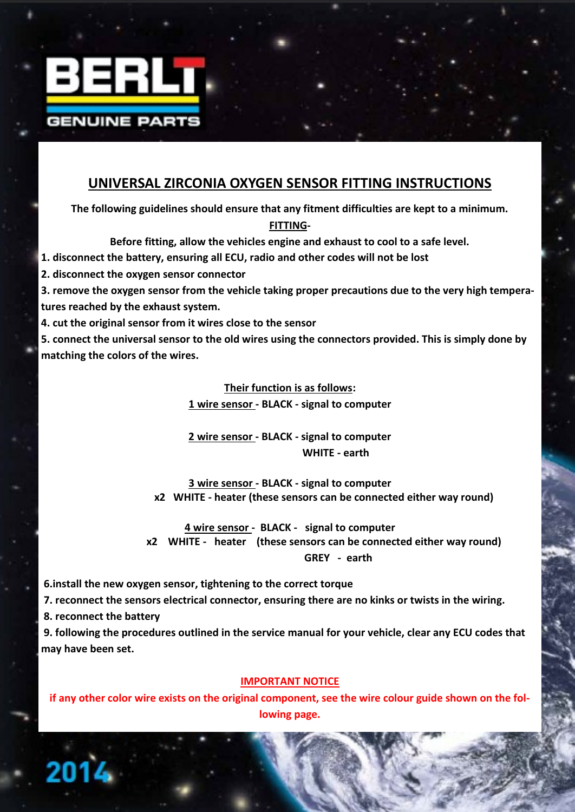

## **UNIVERSAL ZIRCONIA OXYGEN SENSOR FITTING INSTRUCTIONS**

**The following guidelines should ensure that any fitment difficulties are kept to a minimum.**

**FITTING-**

**Before fitting, allow the vehicles engine and exhaust to cool to a safe level.**

**1. disconnect the battery, ensuring all ECU, radio and other codes will not be lost**

**2. disconnect the oxygen sensor connector**

**3. remove the oxygen sensor from the vehicle taking proper precautions due to the very high temperatures reached by the exhaust system.**

**4. cut the original sensor from it wires close to the sensor**

**5. connect the universal sensor to the old wires using the connectors provided. This is simply done by matching the colors of the wires.**

**Their function is as follows:**

**1 wire sensor - BLACK - signal to computer**

**2 wire sensor - BLACK - signal to computer WHITE - earth** 

**3 wire sensor - BLACK - signal to computer x2 WHITE - heater (these sensors can be connected either way round)**

**4 wire sensor - BLACK - signal to computer x2 WHITE - heater (these sensors can be connected either way round) GREY - earth** 

**6.install the new oxygen sensor, tightening to the correct torque**

**7. reconnect the sensors electrical connector, ensuring there are no kinks or twists in the wiring.**

**8. reconnect the battery**

**9. following the procedures outlined in the service manual for your vehicle, clear any ECU codes that may have been set.** 

## **IMPORTANT NOTICE**

**if any other color wire exists on the original component, see the wire colour guide shown on the following page.**